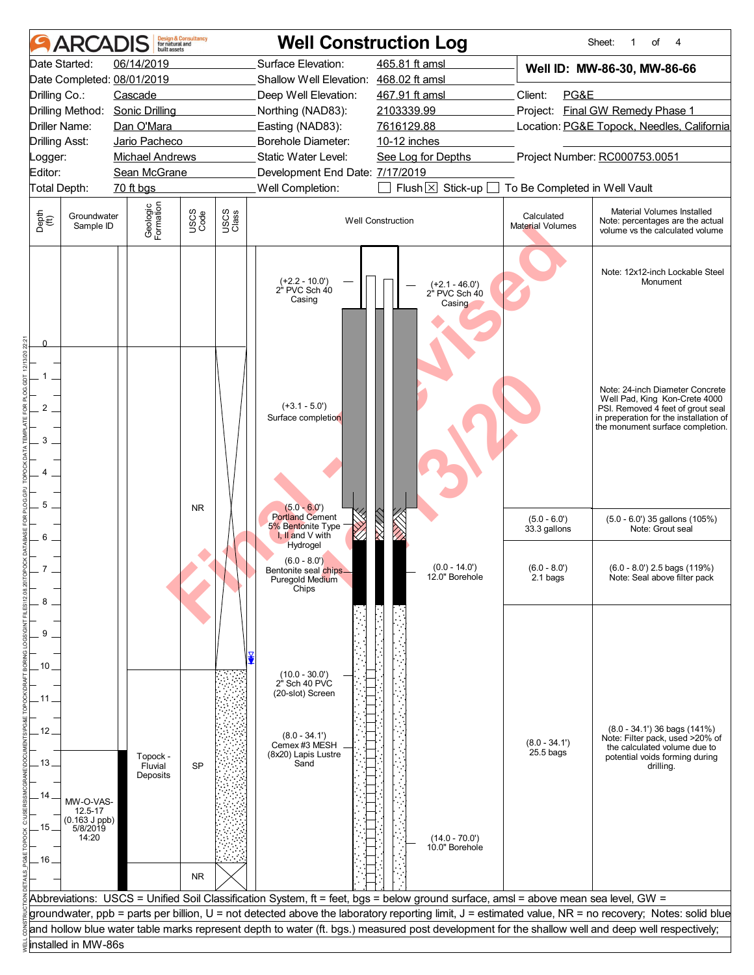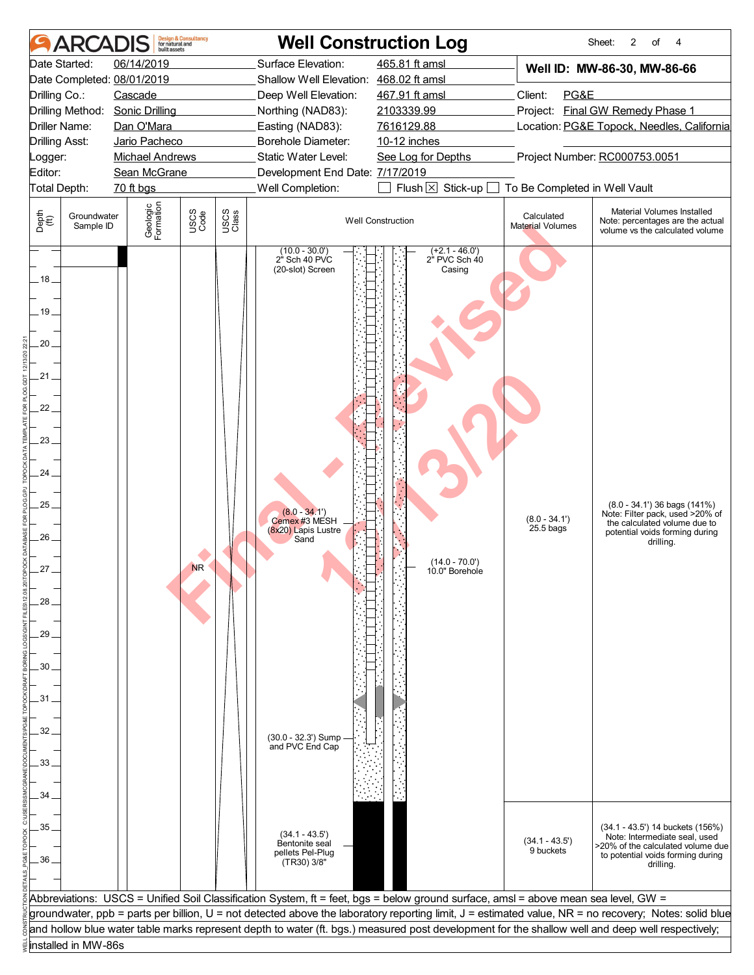|                                                                                                                 | ARCADI                   | huilt assets               | <b>Design &amp; Consultancy</b><br>for natural and |               | <b>Well Construction Log</b>                                         |                                                                                                                                    |                                       | 2<br>of<br>Sheet:<br>4                                                                                                                                |  |  |  |
|-----------------------------------------------------------------------------------------------------------------|--------------------------|----------------------------|----------------------------------------------------|---------------|----------------------------------------------------------------------|------------------------------------------------------------------------------------------------------------------------------------|---------------------------------------|-------------------------------------------------------------------------------------------------------------------------------------------------------|--|--|--|
| Date Started:                                                                                                   |                          | 06/14/2019                 |                                                    |               | Surface Elevation:                                                   | 465.81 ft amsl                                                                                                                     |                                       | Well ID: MW-86-30, MW-86-66                                                                                                                           |  |  |  |
|                                                                                                                 |                          | Date Completed: 08/01/2019 |                                                    |               | Shallow Well Elevation: 468.02 ft amsl                               |                                                                                                                                    |                                       |                                                                                                                                                       |  |  |  |
| Drilling Co.:                                                                                                   |                          | Cascade                    |                                                    |               | Deep Well Elevation:                                                 | 467.91 ft amsl                                                                                                                     | Client:<br>PG&E                       |                                                                                                                                                       |  |  |  |
|                                                                                                                 | Drilling Method:         | <b>Sonic Drilling</b>      |                                                    |               | Northing (NAD83):                                                    | 2103339.99                                                                                                                         |                                       | Project: Final GW Remedy Phase 1                                                                                                                      |  |  |  |
| Driller Name:                                                                                                   |                          | Dan O'Mara                 |                                                    |               | Easting (NAD83):                                                     | 7616129.88                                                                                                                         |                                       | Location: PG&E Topock, Needles, California                                                                                                            |  |  |  |
| <b>Drilling Asst:</b>                                                                                           |                          | Jario Pacheco              |                                                    |               | Borehole Diameter:                                                   | 10-12 inches                                                                                                                       |                                       |                                                                                                                                                       |  |  |  |
| _ogger:                                                                                                         |                          | <b>Michael Andrews</b>     |                                                    |               | Static Water Level:                                                  | See Log for Depths                                                                                                                 |                                       | Project Number: RC000753.0051                                                                                                                         |  |  |  |
| Editor:                                                                                                         |                          | Sean McGrane               |                                                    |               | Development End Date: 7/17/2019                                      |                                                                                                                                    |                                       |                                                                                                                                                       |  |  |  |
| $Flush \boxtimes$<br>Well Completion:<br>Stick-up<br>To Be Completed in Well Vault<br>Total Depth:<br>70 ft bgs |                          |                            |                                                    |               |                                                                      |                                                                                                                                    |                                       |                                                                                                                                                       |  |  |  |
| Depth<br>(ft)                                                                                                   | Groundwater<br>Sample ID | Geologic<br>Formation      | USCS<br>Code                                       | USCS<br>Class |                                                                      | <b>Well Construction</b>                                                                                                           | Calculated<br><b>Material Volumes</b> | Material Volumes Installed<br>Note: percentages are the actual<br>volume vs the calculated volume                                                     |  |  |  |
| . 18 .                                                                                                          |                          |                            |                                                    |               | $(10.0 - 30.0)$<br>2" Sch 40 PVC<br>(20-slot) Screen                 | $(+2.1 - 46.0')$<br>$2^{\dot{}}$ PVC Sch $40$<br>Casing                                                                            |                                       |                                                                                                                                                       |  |  |  |
| $19-$                                                                                                           |                          |                            |                                                    |               |                                                                      |                                                                                                                                    |                                       |                                                                                                                                                       |  |  |  |
| 20                                                                                                              |                          |                            |                                                    |               |                                                                      |                                                                                                                                    |                                       |                                                                                                                                                       |  |  |  |
| .21.                                                                                                            |                          |                            |                                                    |               |                                                                      |                                                                                                                                    |                                       |                                                                                                                                                       |  |  |  |
| 22.                                                                                                             |                          |                            |                                                    |               |                                                                      |                                                                                                                                    |                                       |                                                                                                                                                       |  |  |  |
| 23.                                                                                                             |                          |                            |                                                    |               |                                                                      |                                                                                                                                    |                                       |                                                                                                                                                       |  |  |  |
| 24<br>25.                                                                                                       |                          |                            |                                                    |               |                                                                      |                                                                                                                                    |                                       | $(8.0 - 34.1')$ 36 bags $(141\%)$                                                                                                                     |  |  |  |
| 26                                                                                                              |                          |                            |                                                    |               | $(8.0 - 34.1')$<br>Cemex #3 MESH<br>(8x20) Lapis Lustre<br>Sand      |                                                                                                                                    | $(8.0 - 34.1')$<br>25.5 bags          | Note: Filter pack, used >20% of<br>the calculated volume due to<br>potential voids forming during<br>drilling.                                        |  |  |  |
| $27_{-}$                                                                                                        |                          |                            | <b>NR</b>                                          |               |                                                                      | $(14.0 - 70.0)$<br>10.0" Borehole                                                                                                  |                                       |                                                                                                                                                       |  |  |  |
| 28                                                                                                              |                          |                            |                                                    |               |                                                                      |                                                                                                                                    |                                       |                                                                                                                                                       |  |  |  |
| 29                                                                                                              |                          |                            |                                                    |               |                                                                      |                                                                                                                                    |                                       |                                                                                                                                                       |  |  |  |
| 30.                                                                                                             |                          |                            |                                                    |               |                                                                      |                                                                                                                                    |                                       |                                                                                                                                                       |  |  |  |
| 31                                                                                                              |                          |                            |                                                    |               |                                                                      |                                                                                                                                    |                                       |                                                                                                                                                       |  |  |  |
|                                                                                                                 |                          |                            |                                                    |               |                                                                      |                                                                                                                                    |                                       |                                                                                                                                                       |  |  |  |
| 32                                                                                                              |                          |                            |                                                    |               | (30.0 - 32.3') Sump                                                  |                                                                                                                                    |                                       |                                                                                                                                                       |  |  |  |
|                                                                                                                 |                          |                            |                                                    |               | and PVC End Cap                                                      |                                                                                                                                    |                                       |                                                                                                                                                       |  |  |  |
| 33                                                                                                              |                          |                            |                                                    |               |                                                                      |                                                                                                                                    |                                       |                                                                                                                                                       |  |  |  |
|                                                                                                                 |                          |                            |                                                    |               |                                                                      |                                                                                                                                    |                                       |                                                                                                                                                       |  |  |  |
| 34                                                                                                              |                          |                            |                                                    |               |                                                                      |                                                                                                                                    |                                       |                                                                                                                                                       |  |  |  |
| 35<br>36.                                                                                                       |                          |                            |                                                    |               | $(34.1 - 43.5)$<br>Bentonite seal<br>pellets Pel-Plug<br>(TR30) 3/8" |                                                                                                                                    | $(34.1 - 43.5')$<br>9 buckets         | (34.1 - 43.5') 14 buckets (156%)<br>Note: Intermediate seal, used<br>>20% of the calculated volume due<br>to potential voids forming during           |  |  |  |
|                                                                                                                 |                          |                            |                                                    |               |                                                                      |                                                                                                                                    |                                       | drilling.                                                                                                                                             |  |  |  |
|                                                                                                                 |                          |                            |                                                    |               |                                                                      |                                                                                                                                    |                                       |                                                                                                                                                       |  |  |  |
|                                                                                                                 |                          |                            |                                                    |               |                                                                      | Abbreviations: USCS = Unified Soil Classification System, ft = feet, bgs = below ground surface, amsl = above mean sea level, GW = |                                       | groundwater, ppb = parts per billion, U = not detected above the laboratory reporting limit, J = estimated value, NR = no recovery; Notes: solid blue |  |  |  |
|                                                                                                                 |                          |                            |                                                    |               |                                                                      |                                                                                                                                    |                                       | and hollow blue water table marks represent depth to water (ft. bgs.) measured post development for the shallow well and deep well respectively;      |  |  |  |
|                                                                                                                 | installed in MW-86s      |                            |                                                    |               |                                                                      |                                                                                                                                    |                                       |                                                                                                                                                       |  |  |  |
|                                                                                                                 |                          |                            |                                                    |               |                                                                      |                                                                                                                                    |                                       |                                                                                                                                                       |  |  |  |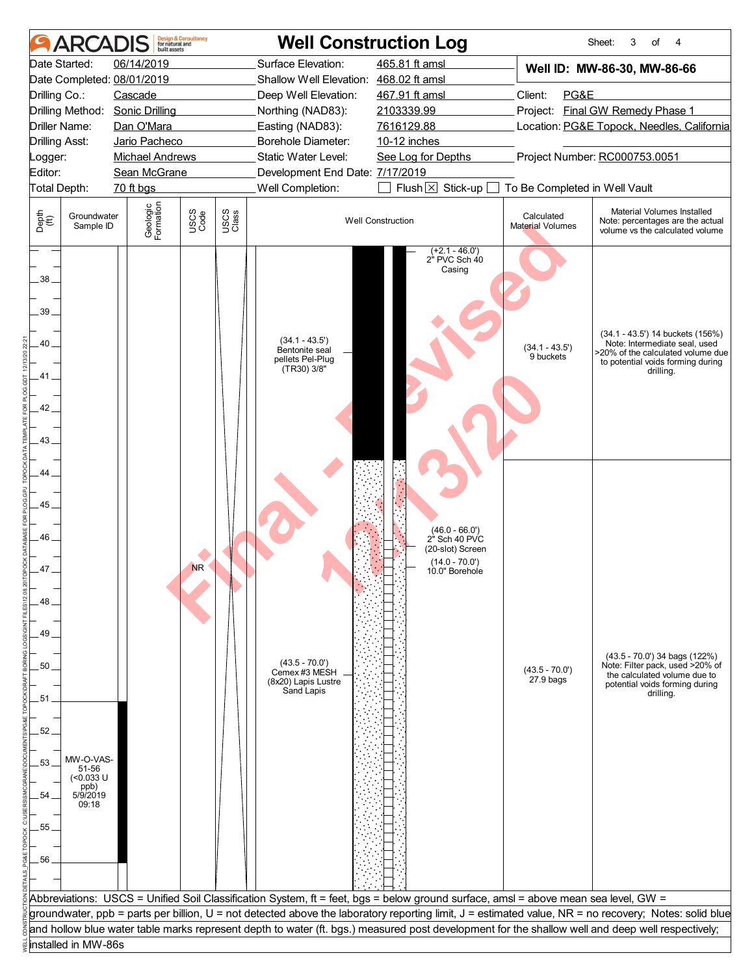| <b>ARCA</b>                                                                                   | huilt assets                    | <b>Design &amp; Consultancy</b><br>for natural and |               |                                                                                                                                    | <b>Well Construction Log</b>                                                               |                                 | 3<br>Sheet:<br>of<br>4                                                                                                                                   |  |  |
|-----------------------------------------------------------------------------------------------|---------------------------------|----------------------------------------------------|---------------|------------------------------------------------------------------------------------------------------------------------------------|--------------------------------------------------------------------------------------------|---------------------------------|----------------------------------------------------------------------------------------------------------------------------------------------------------|--|--|
| Date Started:                                                                                 | 06/14/2019                      |                                                    |               | Surface Elevation:                                                                                                                 | 465.81 ft amsl                                                                             |                                 | Well ID: MW-86-30, MW-86-66                                                                                                                              |  |  |
| Date Completed: 08/01/2019                                                                    |                                 |                                                    |               | Shallow Well Elevation: 468.02 ft amsl                                                                                             |                                                                                            |                                 |                                                                                                                                                          |  |  |
| Drilling Co.:                                                                                 | Cascade                         |                                                    |               | Deep Well Elevation:                                                                                                               | 467.91 ft amsl                                                                             | PG&E<br>Client:                 |                                                                                                                                                          |  |  |
|                                                                                               | Drilling Method: Sonic Drilling |                                                    |               | Northing (NAD83):                                                                                                                  | 2103339.99                                                                                 |                                 | Project: Final GW Remedy Phase 1                                                                                                                         |  |  |
| Driller Name:                                                                                 | Dan O'Mara                      |                                                    |               | Easting (NAD83):                                                                                                                   | 7616129.88                                                                                 |                                 | Location: PG&E Topock, Needles, California                                                                                                               |  |  |
| <b>Drilling Asst:</b>                                                                         | Jario Pacheco                   |                                                    |               | Borehole Diameter:                                                                                                                 | 10-12 inches                                                                               |                                 |                                                                                                                                                          |  |  |
| Logger:                                                                                       | <b>Michael Andrews</b>          |                                                    |               | Static Water Level:                                                                                                                | See Log for Depths                                                                         |                                 | Project Number: RC000753.0051                                                                                                                            |  |  |
| Editor:                                                                                       | Sean McGrane                    |                                                    |               | Development End Date: 7/17/2019                                                                                                    |                                                                                            |                                 |                                                                                                                                                          |  |  |
| Total Depth:                                                                                  | 70 ft bgs                       |                                                    |               | Well Completion:                                                                                                                   | Flush $\boxtimes$ Stick-up [                                                               | To Be Completed in Well Vault   |                                                                                                                                                          |  |  |
| Depth<br>(ff)<br>Groundwater<br>Sample ID                                                     | Geologic<br>Formation           | USCS<br>Code                                       | USCS<br>Class |                                                                                                                                    | <b>Well Construction</b>                                                                   | Calculated<br>Material Volumes  | Material Volumes Installed<br>Note: percentages are the actual<br>volume vs the calculated volume                                                        |  |  |
| 38.<br>39<br>40<br>41.<br>42<br>43                                                            |                                 |                                                    |               | $(34.1 - 43.5')$<br>Bentonite seal<br>pellets Pel-Plug<br>(TR30) 3/8"                                                              | $(+2.1 - 46.0')$<br>$2^{\degree}$ PVC Sch $40$<br>Casing                                   | $(34.1 - 43.5')$<br>9 buckets   | (34.1 - 43.5') 14 buckets (156%)<br>Note: Intermediate seal, used<br>>20% of the calculated volume due<br>to potential voids forming during<br>drilling. |  |  |
| 44<br>45<br>46.<br>47.<br>48<br>49<br>50<br>51                                                |                                 | <b>NR</b>                                          |               | $(43.5 - 70.0')$<br>Cemex #3 MESH<br>(8x20) Lapis Lustre<br>Sand Lapis                                                             | $(46.0 - 66.0')$<br>2" Sch 40 PVC<br>(20-slot) Screen<br>$(14.0 - 70.0)$<br>10.0" Borehole | $(43.5 - 70.0')$<br>$27.9b$ ags | $(43.5 - 70.0')$ 34 bags $(122%)$<br>Note: Filter pack, used >20% of<br>the calculated volume due to<br>potential voids forming during<br>drilling.      |  |  |
| 52.<br>MW-O-VAS-<br>53.<br>51-56<br>(<0.033 U<br>ppb)<br>5/9/2019<br>54<br>09:18<br>55.<br>56 |                                 |                                                    |               |                                                                                                                                    |                                                                                            |                                 |                                                                                                                                                          |  |  |
|                                                                                               |                                 |                                                    |               | Abbreviations: USCS = Unified Soil Classification System, ft = feet, bgs = below ground surface, amsl = above mean sea level, GW = |                                                                                            |                                 |                                                                                                                                                          |  |  |
|                                                                                               |                                 |                                                    |               |                                                                                                                                    |                                                                                            |                                 | groundwater, ppb = parts per billion, U = not detected above the laboratory reporting limit, J = estimated value, NR = no recovery; Notes: solid blue    |  |  |
|                                                                                               |                                 |                                                    |               |                                                                                                                                    |                                                                                            |                                 | and hollow blue water table marks represent depth to water (ft. bgs.) measured post development for the shallow well and deep well respectively;         |  |  |
| installed in MW-86s                                                                           |                                 |                                                    |               |                                                                                                                                    |                                                                                            |                                 |                                                                                                                                                          |  |  |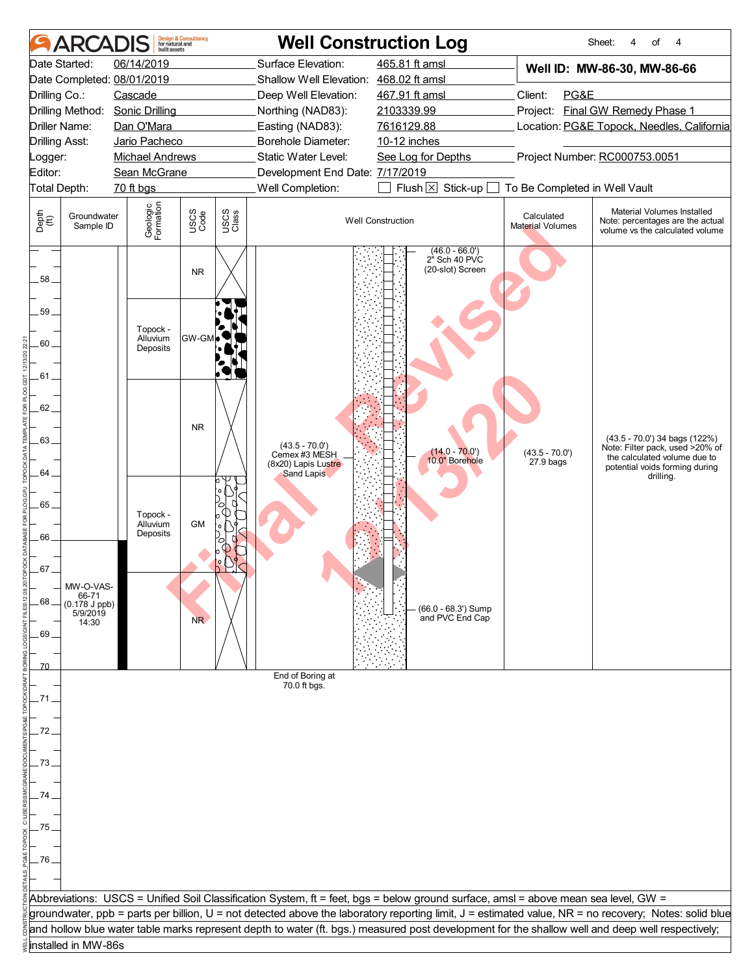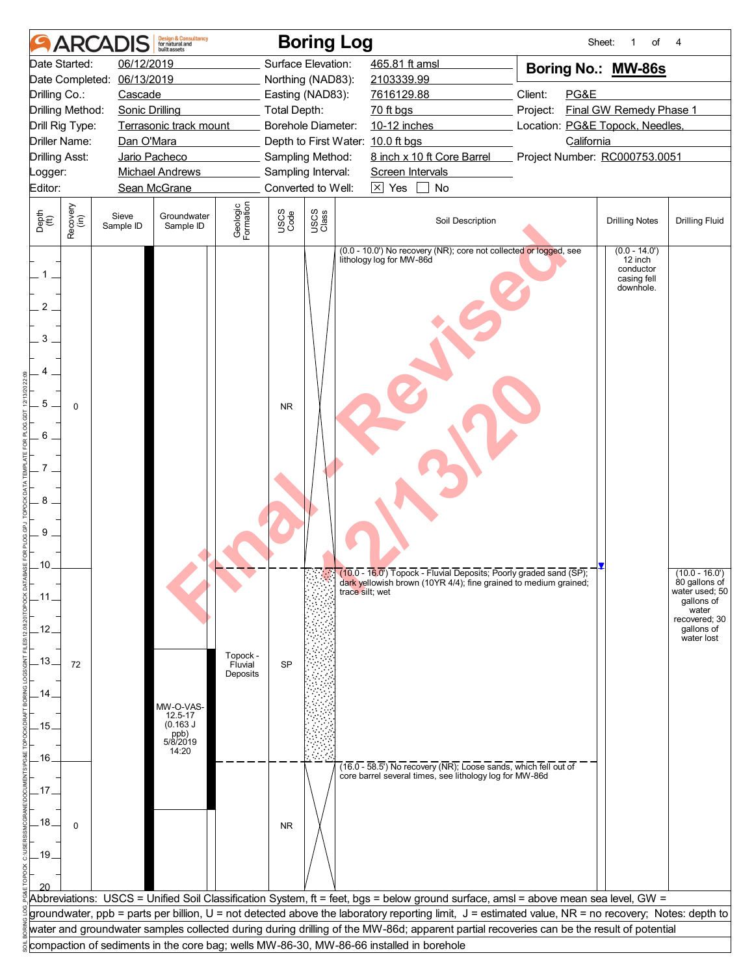| Date Started:<br>06/12/2019<br>Surface Elevation:<br>465.81 ft amsl<br>Boring No.: MW-86s<br>06/13/2019<br>2103339.99<br>Date Completed:<br>Northing (NAD83):<br>Client:<br>PG&E<br>Drilling Co.:<br>Cascade<br>Easting (NAD83):<br>7616129.88<br>Drilling Method:<br>Final GW Remedy Phase 1<br><b>Sonic Drilling</b><br>Total Depth:<br>70 ft bgs<br>Project:<br>Terrasonic track mount<br>Borehole Diameter:<br>10-12 inches<br>Location: PG&E Topock, Needles,<br>Drill Rig Type:<br>Driller Name:<br>Depth to First Water: 10.0 ft bgs<br>California<br>Dan O'Mara<br>8 inch x 10 ft Core Barrel<br>Project Number: RC000753.0051<br><b>Drilling Asst:</b><br>Jario Pacheco<br>Sampling Method:<br><b>Michael Andrews</b><br>Sampling Interval:<br>Screen Intervals<br>_ogger:<br>Converted to Well:<br>$\boxtimes$ Yes $\Box$<br>Editor:<br>Sean McGrane<br>No<br>Geologic<br>Formation<br>Recovery<br>(in)<br>USCS<br>Class<br>USCS<br>Code<br>Depth<br>(ft)<br>Groundwater<br>Sieve<br>Soil Description<br><b>Drilling Notes</b><br><b>Drilling Fluid</b><br>Sample ID<br>Sample ID<br>(0.0 - 10.0') No recovery (NR); core not collected or logged, see<br>$(0.0 - 14.0)$<br>lithology log for MW-86d<br>12 inch<br>conductor<br>$1$ .<br>casing fell<br>downhole.<br>$\overline{2}$<br>3<br>5<br><b>NR</b><br>$\mathbf 0$<br>6<br>7<br>8<br>9<br>.10.<br>$\overline{[0,1]}\sqrt{[0,0]}$ (10.0 - 16.0) Topock - Fluvial Deposits; Poorly graded sand (SP);<br>$(10.0 - 16.0)$<br>dark yellowish brown (10YR 4/4); fine grained to medium grained;<br>80 gallons of<br>water used; 50<br>trace silt; wet<br>$.11$<br>gallons of<br>water<br>recovered; 30<br>$-12$<br>gallons of<br>water lost<br>Topock -<br>$-13-$<br><b>SP</b><br>72<br>Fluvial<br>Deposits<br>.14.<br>MW-O-VAS-<br>$12.5 - 17$<br>(0.163 J)<br>.15.<br>ppb)<br>5/8/2019<br>14:20<br>.16.<br>$(16.0 - 58.5)$ No recovery (NR); Loose sands, which fell out of<br>core barrel several times, see lithology log for MW-86d<br>.17.<br>$.18-$<br>$\Omega$<br><b>NR</b><br>.19.<br>Abbreviations: USCS = Unified Soil Classification System, ft = feet, bgs = below ground surface, amsl = above mean sea level, GW =<br>groundwater, ppb = parts per billion, U = not detected above the laboratory reporting limit, J = estimated value, NR = no recovery; Notes: depth to<br>water and groundwater samples collected during during drilling of the MW-86d; apparent partial recoveries can be the result of potential<br>compaction of sediments in the core bag; wells MW-86-30, MW-86-66 installed in borehole |  |  | <b>ARCADIS</b> | <b>Design &amp; Consultancy</b><br>for natural and<br><b>built</b> assets |  |  | <b>Boring Log</b> |  | Sheet:<br>1<br>of | 4 |
|--------------------------------------------------------------------------------------------------------------------------------------------------------------------------------------------------------------------------------------------------------------------------------------------------------------------------------------------------------------------------------------------------------------------------------------------------------------------------------------------------------------------------------------------------------------------------------------------------------------------------------------------------------------------------------------------------------------------------------------------------------------------------------------------------------------------------------------------------------------------------------------------------------------------------------------------------------------------------------------------------------------------------------------------------------------------------------------------------------------------------------------------------------------------------------------------------------------------------------------------------------------------------------------------------------------------------------------------------------------------------------------------------------------------------------------------------------------------------------------------------------------------------------------------------------------------------------------------------------------------------------------------------------------------------------------------------------------------------------------------------------------------------------------------------------------------------------------------------------------------------------------------------------------------------------------------------------------------------------------------------------------------------------------------------------------------------------------------------------------------------------------------------------------------------------------------------------------------------------------------------------------------------------------------------------------------------------------------------------------------------------------------------------------------------------------------------------------------------------------------------------------------------------------------------------------------------------------------|--|--|----------------|---------------------------------------------------------------------------|--|--|-------------------|--|-------------------|---|
|                                                                                                                                                                                                                                                                                                                                                                                                                                                                                                                                                                                                                                                                                                                                                                                                                                                                                                                                                                                                                                                                                                                                                                                                                                                                                                                                                                                                                                                                                                                                                                                                                                                                                                                                                                                                                                                                                                                                                                                                                                                                                                                                                                                                                                                                                                                                                                                                                                                                                                                                                                                            |  |  |                |                                                                           |  |  |                   |  |                   |   |
|                                                                                                                                                                                                                                                                                                                                                                                                                                                                                                                                                                                                                                                                                                                                                                                                                                                                                                                                                                                                                                                                                                                                                                                                                                                                                                                                                                                                                                                                                                                                                                                                                                                                                                                                                                                                                                                                                                                                                                                                                                                                                                                                                                                                                                                                                                                                                                                                                                                                                                                                                                                            |  |  |                |                                                                           |  |  |                   |  |                   |   |
|                                                                                                                                                                                                                                                                                                                                                                                                                                                                                                                                                                                                                                                                                                                                                                                                                                                                                                                                                                                                                                                                                                                                                                                                                                                                                                                                                                                                                                                                                                                                                                                                                                                                                                                                                                                                                                                                                                                                                                                                                                                                                                                                                                                                                                                                                                                                                                                                                                                                                                                                                                                            |  |  |                |                                                                           |  |  |                   |  |                   |   |
|                                                                                                                                                                                                                                                                                                                                                                                                                                                                                                                                                                                                                                                                                                                                                                                                                                                                                                                                                                                                                                                                                                                                                                                                                                                                                                                                                                                                                                                                                                                                                                                                                                                                                                                                                                                                                                                                                                                                                                                                                                                                                                                                                                                                                                                                                                                                                                                                                                                                                                                                                                                            |  |  |                |                                                                           |  |  |                   |  |                   |   |
|                                                                                                                                                                                                                                                                                                                                                                                                                                                                                                                                                                                                                                                                                                                                                                                                                                                                                                                                                                                                                                                                                                                                                                                                                                                                                                                                                                                                                                                                                                                                                                                                                                                                                                                                                                                                                                                                                                                                                                                                                                                                                                                                                                                                                                                                                                                                                                                                                                                                                                                                                                                            |  |  |                |                                                                           |  |  |                   |  |                   |   |
|                                                                                                                                                                                                                                                                                                                                                                                                                                                                                                                                                                                                                                                                                                                                                                                                                                                                                                                                                                                                                                                                                                                                                                                                                                                                                                                                                                                                                                                                                                                                                                                                                                                                                                                                                                                                                                                                                                                                                                                                                                                                                                                                                                                                                                                                                                                                                                                                                                                                                                                                                                                            |  |  |                |                                                                           |  |  |                   |  |                   |   |
|                                                                                                                                                                                                                                                                                                                                                                                                                                                                                                                                                                                                                                                                                                                                                                                                                                                                                                                                                                                                                                                                                                                                                                                                                                                                                                                                                                                                                                                                                                                                                                                                                                                                                                                                                                                                                                                                                                                                                                                                                                                                                                                                                                                                                                                                                                                                                                                                                                                                                                                                                                                            |  |  |                |                                                                           |  |  |                   |  |                   |   |
|                                                                                                                                                                                                                                                                                                                                                                                                                                                                                                                                                                                                                                                                                                                                                                                                                                                                                                                                                                                                                                                                                                                                                                                                                                                                                                                                                                                                                                                                                                                                                                                                                                                                                                                                                                                                                                                                                                                                                                                                                                                                                                                                                                                                                                                                                                                                                                                                                                                                                                                                                                                            |  |  |                |                                                                           |  |  |                   |  |                   |   |
|                                                                                                                                                                                                                                                                                                                                                                                                                                                                                                                                                                                                                                                                                                                                                                                                                                                                                                                                                                                                                                                                                                                                                                                                                                                                                                                                                                                                                                                                                                                                                                                                                                                                                                                                                                                                                                                                                                                                                                                                                                                                                                                                                                                                                                                                                                                                                                                                                                                                                                                                                                                            |  |  |                |                                                                           |  |  |                   |  |                   |   |
|                                                                                                                                                                                                                                                                                                                                                                                                                                                                                                                                                                                                                                                                                                                                                                                                                                                                                                                                                                                                                                                                                                                                                                                                                                                                                                                                                                                                                                                                                                                                                                                                                                                                                                                                                                                                                                                                                                                                                                                                                                                                                                                                                                                                                                                                                                                                                                                                                                                                                                                                                                                            |  |  |                |                                                                           |  |  |                   |  |                   |   |
|                                                                                                                                                                                                                                                                                                                                                                                                                                                                                                                                                                                                                                                                                                                                                                                                                                                                                                                                                                                                                                                                                                                                                                                                                                                                                                                                                                                                                                                                                                                                                                                                                                                                                                                                                                                                                                                                                                                                                                                                                                                                                                                                                                                                                                                                                                                                                                                                                                                                                                                                                                                            |  |  |                |                                                                           |  |  |                   |  |                   |   |
|                                                                                                                                                                                                                                                                                                                                                                                                                                                                                                                                                                                                                                                                                                                                                                                                                                                                                                                                                                                                                                                                                                                                                                                                                                                                                                                                                                                                                                                                                                                                                                                                                                                                                                                                                                                                                                                                                                                                                                                                                                                                                                                                                                                                                                                                                                                                                                                                                                                                                                                                                                                            |  |  |                |                                                                           |  |  |                   |  |                   |   |
|                                                                                                                                                                                                                                                                                                                                                                                                                                                                                                                                                                                                                                                                                                                                                                                                                                                                                                                                                                                                                                                                                                                                                                                                                                                                                                                                                                                                                                                                                                                                                                                                                                                                                                                                                                                                                                                                                                                                                                                                                                                                                                                                                                                                                                                                                                                                                                                                                                                                                                                                                                                            |  |  |                |                                                                           |  |  |                   |  |                   |   |
|                                                                                                                                                                                                                                                                                                                                                                                                                                                                                                                                                                                                                                                                                                                                                                                                                                                                                                                                                                                                                                                                                                                                                                                                                                                                                                                                                                                                                                                                                                                                                                                                                                                                                                                                                                                                                                                                                                                                                                                                                                                                                                                                                                                                                                                                                                                                                                                                                                                                                                                                                                                            |  |  |                |                                                                           |  |  |                   |  |                   |   |
|                                                                                                                                                                                                                                                                                                                                                                                                                                                                                                                                                                                                                                                                                                                                                                                                                                                                                                                                                                                                                                                                                                                                                                                                                                                                                                                                                                                                                                                                                                                                                                                                                                                                                                                                                                                                                                                                                                                                                                                                                                                                                                                                                                                                                                                                                                                                                                                                                                                                                                                                                                                            |  |  |                |                                                                           |  |  |                   |  |                   |   |
|                                                                                                                                                                                                                                                                                                                                                                                                                                                                                                                                                                                                                                                                                                                                                                                                                                                                                                                                                                                                                                                                                                                                                                                                                                                                                                                                                                                                                                                                                                                                                                                                                                                                                                                                                                                                                                                                                                                                                                                                                                                                                                                                                                                                                                                                                                                                                                                                                                                                                                                                                                                            |  |  |                |                                                                           |  |  |                   |  |                   |   |
|                                                                                                                                                                                                                                                                                                                                                                                                                                                                                                                                                                                                                                                                                                                                                                                                                                                                                                                                                                                                                                                                                                                                                                                                                                                                                                                                                                                                                                                                                                                                                                                                                                                                                                                                                                                                                                                                                                                                                                                                                                                                                                                                                                                                                                                                                                                                                                                                                                                                                                                                                                                            |  |  |                |                                                                           |  |  |                   |  |                   |   |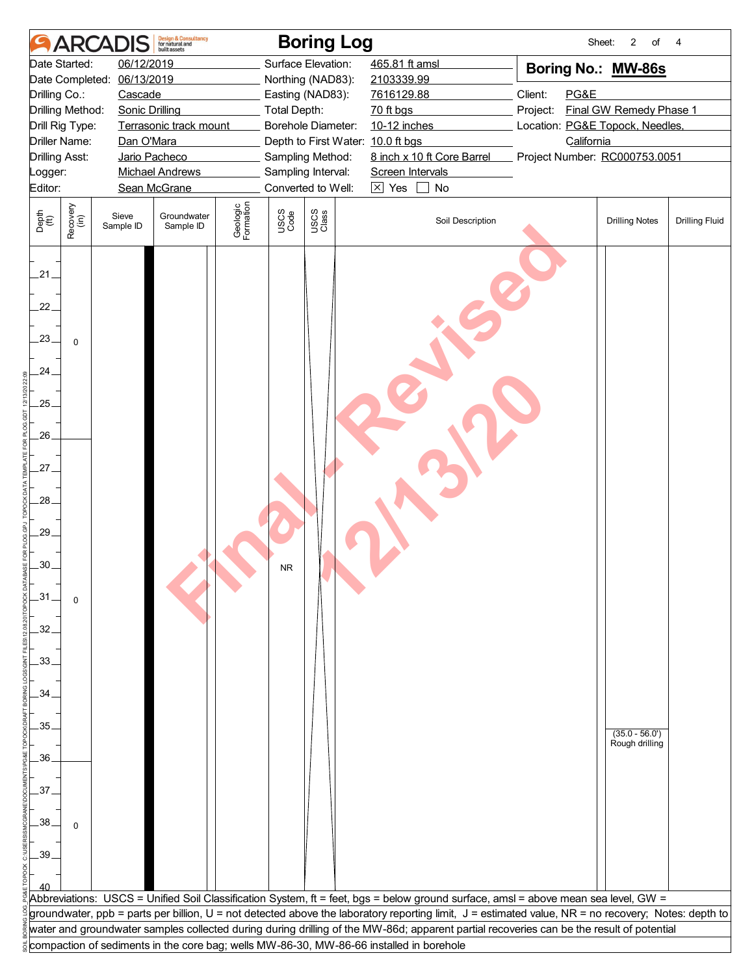| Date Started:<br>06/12/2019<br>Surface Elevation:<br>465.81 ft amsl<br>Boring No.: MW-86s<br>06/13/2019<br>2103339.99<br>Date Completed:<br>Northing (NAD83):<br>Client:<br>PG&E<br>Drilling Co.:<br>Cascade<br>Easting (NAD83):<br>7616129.88<br>Final GW Remedy Phase 1<br>Drilling Method:<br>Project:<br><b>Sonic Drilling</b><br>Total Depth:<br>70 ft bgs<br>Terrasonic track mount<br>Borehole Diameter:<br>10-12 inches<br>Location: PG&E Topock, Needles,<br>Drill Rig Type:<br><b>Driller Name:</b><br>Dan O'Mara<br>Depth to First Water: 10.0 ft bgs<br>California<br>8 inch x 10 ft Core Barrel<br>Sampling Method:<br>Project Number: RC000753.0051<br><b>Drilling Asst:</b><br>Jario Pacheco<br>Sampling Interval:<br><b>Michael Andrews</b><br>Screen Intervals<br>Logger:<br>Converted to Well:<br>$\boxtimes$ Yes<br>Editor:<br>Sean McGrane<br>$\pm$<br>No<br>Geologic<br>Formation<br>Recovery<br>(in)<br>USCS<br>Class<br>USCS<br>Code<br>Depth<br>$\widetilde{f(t)}$<br>Groundwater<br>Sieve<br>Soil Description<br><b>Drilling Notes</b><br><b>Drilling Fluid</b><br>Sample ID<br>Sample ID<br>21.<br>22.<br>23.<br>$\mathbf 0$<br>.24.<br>.25.<br>$26-$<br>27.<br>28.<br>$.29-$<br>.30.<br><b>NR</b><br>$-31$<br>$\mathbf 0$<br>32.<br>$-33-$<br>.34.<br>35.<br>$(35.0 - 56.0')$<br>Rough drilling<br>.36.<br>37.<br>.38 <sub>1</sub><br>$\mathbf 0$<br>.39.<br>Abbreviations: USCS = Unified Soil Classification System, ft = feet, bgs = below ground surface, amsl = above mean sea level, GW =<br>groundwater, ppb = parts per billion, U = not detected above the laboratory reporting limit, J = estimated value, NR = no recovery; Notes: depth to<br>water and groundwater samples collected during during drilling of the MW-86d; apparent partial recoveries can be the result of potential<br>compaction of sediments in the core bag; wells MW-86-30, MW-86-66 installed in borehole |  | <b>ARCADIS</b> | <b>Design &amp; Consultancy</b><br>for natural and<br><b>built</b> assets |  | <b>Boring Log</b> | Sheet: | $\overline{c}$<br>of | 4 |
|--------------------------------------------------------------------------------------------------------------------------------------------------------------------------------------------------------------------------------------------------------------------------------------------------------------------------------------------------------------------------------------------------------------------------------------------------------------------------------------------------------------------------------------------------------------------------------------------------------------------------------------------------------------------------------------------------------------------------------------------------------------------------------------------------------------------------------------------------------------------------------------------------------------------------------------------------------------------------------------------------------------------------------------------------------------------------------------------------------------------------------------------------------------------------------------------------------------------------------------------------------------------------------------------------------------------------------------------------------------------------------------------------------------------------------------------------------------------------------------------------------------------------------------------------------------------------------------------------------------------------------------------------------------------------------------------------------------------------------------------------------------------------------------------------------------------------------------------------------------------------------------------------------------------------|--|----------------|---------------------------------------------------------------------------|--|-------------------|--------|----------------------|---|
|                                                                                                                                                                                                                                                                                                                                                                                                                                                                                                                                                                                                                                                                                                                                                                                                                                                                                                                                                                                                                                                                                                                                                                                                                                                                                                                                                                                                                                                                                                                                                                                                                                                                                                                                                                                                                                                                                                                          |  |                |                                                                           |  |                   |        |                      |   |
|                                                                                                                                                                                                                                                                                                                                                                                                                                                                                                                                                                                                                                                                                                                                                                                                                                                                                                                                                                                                                                                                                                                                                                                                                                                                                                                                                                                                                                                                                                                                                                                                                                                                                                                                                                                                                                                                                                                          |  |                |                                                                           |  |                   |        |                      |   |
|                                                                                                                                                                                                                                                                                                                                                                                                                                                                                                                                                                                                                                                                                                                                                                                                                                                                                                                                                                                                                                                                                                                                                                                                                                                                                                                                                                                                                                                                                                                                                                                                                                                                                                                                                                                                                                                                                                                          |  |                |                                                                           |  |                   |        |                      |   |
|                                                                                                                                                                                                                                                                                                                                                                                                                                                                                                                                                                                                                                                                                                                                                                                                                                                                                                                                                                                                                                                                                                                                                                                                                                                                                                                                                                                                                                                                                                                                                                                                                                                                                                                                                                                                                                                                                                                          |  |                |                                                                           |  |                   |        |                      |   |
|                                                                                                                                                                                                                                                                                                                                                                                                                                                                                                                                                                                                                                                                                                                                                                                                                                                                                                                                                                                                                                                                                                                                                                                                                                                                                                                                                                                                                                                                                                                                                                                                                                                                                                                                                                                                                                                                                                                          |  |                |                                                                           |  |                   |        |                      |   |
|                                                                                                                                                                                                                                                                                                                                                                                                                                                                                                                                                                                                                                                                                                                                                                                                                                                                                                                                                                                                                                                                                                                                                                                                                                                                                                                                                                                                                                                                                                                                                                                                                                                                                                                                                                                                                                                                                                                          |  |                |                                                                           |  |                   |        |                      |   |
|                                                                                                                                                                                                                                                                                                                                                                                                                                                                                                                                                                                                                                                                                                                                                                                                                                                                                                                                                                                                                                                                                                                                                                                                                                                                                                                                                                                                                                                                                                                                                                                                                                                                                                                                                                                                                                                                                                                          |  |                |                                                                           |  |                   |        |                      |   |
|                                                                                                                                                                                                                                                                                                                                                                                                                                                                                                                                                                                                                                                                                                                                                                                                                                                                                                                                                                                                                                                                                                                                                                                                                                                                                                                                                                                                                                                                                                                                                                                                                                                                                                                                                                                                                                                                                                                          |  |                |                                                                           |  |                   |        |                      |   |
|                                                                                                                                                                                                                                                                                                                                                                                                                                                                                                                                                                                                                                                                                                                                                                                                                                                                                                                                                                                                                                                                                                                                                                                                                                                                                                                                                                                                                                                                                                                                                                                                                                                                                                                                                                                                                                                                                                                          |  |                |                                                                           |  |                   |        |                      |   |
|                                                                                                                                                                                                                                                                                                                                                                                                                                                                                                                                                                                                                                                                                                                                                                                                                                                                                                                                                                                                                                                                                                                                                                                                                                                                                                                                                                                                                                                                                                                                                                                                                                                                                                                                                                                                                                                                                                                          |  |                |                                                                           |  |                   |        |                      |   |
|                                                                                                                                                                                                                                                                                                                                                                                                                                                                                                                                                                                                                                                                                                                                                                                                                                                                                                                                                                                                                                                                                                                                                                                                                                                                                                                                                                                                                                                                                                                                                                                                                                                                                                                                                                                                                                                                                                                          |  |                |                                                                           |  |                   |        |                      |   |
|                                                                                                                                                                                                                                                                                                                                                                                                                                                                                                                                                                                                                                                                                                                                                                                                                                                                                                                                                                                                                                                                                                                                                                                                                                                                                                                                                                                                                                                                                                                                                                                                                                                                                                                                                                                                                                                                                                                          |  |                |                                                                           |  |                   |        |                      |   |
|                                                                                                                                                                                                                                                                                                                                                                                                                                                                                                                                                                                                                                                                                                                                                                                                                                                                                                                                                                                                                                                                                                                                                                                                                                                                                                                                                                                                                                                                                                                                                                                                                                                                                                                                                                                                                                                                                                                          |  |                |                                                                           |  |                   |        |                      |   |
|                                                                                                                                                                                                                                                                                                                                                                                                                                                                                                                                                                                                                                                                                                                                                                                                                                                                                                                                                                                                                                                                                                                                                                                                                                                                                                                                                                                                                                                                                                                                                                                                                                                                                                                                                                                                                                                                                                                          |  |                |                                                                           |  |                   |        |                      |   |
|                                                                                                                                                                                                                                                                                                                                                                                                                                                                                                                                                                                                                                                                                                                                                                                                                                                                                                                                                                                                                                                                                                                                                                                                                                                                                                                                                                                                                                                                                                                                                                                                                                                                                                                                                                                                                                                                                                                          |  |                |                                                                           |  |                   |        |                      |   |
|                                                                                                                                                                                                                                                                                                                                                                                                                                                                                                                                                                                                                                                                                                                                                                                                                                                                                                                                                                                                                                                                                                                                                                                                                                                                                                                                                                                                                                                                                                                                                                                                                                                                                                                                                                                                                                                                                                                          |  |                |                                                                           |  |                   |        |                      |   |
|                                                                                                                                                                                                                                                                                                                                                                                                                                                                                                                                                                                                                                                                                                                                                                                                                                                                                                                                                                                                                                                                                                                                                                                                                                                                                                                                                                                                                                                                                                                                                                                                                                                                                                                                                                                                                                                                                                                          |  |                |                                                                           |  |                   |        |                      |   |
|                                                                                                                                                                                                                                                                                                                                                                                                                                                                                                                                                                                                                                                                                                                                                                                                                                                                                                                                                                                                                                                                                                                                                                                                                                                                                                                                                                                                                                                                                                                                                                                                                                                                                                                                                                                                                                                                                                                          |  |                |                                                                           |  |                   |        |                      |   |
|                                                                                                                                                                                                                                                                                                                                                                                                                                                                                                                                                                                                                                                                                                                                                                                                                                                                                                                                                                                                                                                                                                                                                                                                                                                                                                                                                                                                                                                                                                                                                                                                                                                                                                                                                                                                                                                                                                                          |  |                |                                                                           |  |                   |        |                      |   |
|                                                                                                                                                                                                                                                                                                                                                                                                                                                                                                                                                                                                                                                                                                                                                                                                                                                                                                                                                                                                                                                                                                                                                                                                                                                                                                                                                                                                                                                                                                                                                                                                                                                                                                                                                                                                                                                                                                                          |  |                |                                                                           |  |                   |        |                      |   |
|                                                                                                                                                                                                                                                                                                                                                                                                                                                                                                                                                                                                                                                                                                                                                                                                                                                                                                                                                                                                                                                                                                                                                                                                                                                                                                                                                                                                                                                                                                                                                                                                                                                                                                                                                                                                                                                                                                                          |  |                |                                                                           |  |                   |        |                      |   |
|                                                                                                                                                                                                                                                                                                                                                                                                                                                                                                                                                                                                                                                                                                                                                                                                                                                                                                                                                                                                                                                                                                                                                                                                                                                                                                                                                                                                                                                                                                                                                                                                                                                                                                                                                                                                                                                                                                                          |  |                |                                                                           |  |                   |        |                      |   |
|                                                                                                                                                                                                                                                                                                                                                                                                                                                                                                                                                                                                                                                                                                                                                                                                                                                                                                                                                                                                                                                                                                                                                                                                                                                                                                                                                                                                                                                                                                                                                                                                                                                                                                                                                                                                                                                                                                                          |  |                |                                                                           |  |                   |        |                      |   |
|                                                                                                                                                                                                                                                                                                                                                                                                                                                                                                                                                                                                                                                                                                                                                                                                                                                                                                                                                                                                                                                                                                                                                                                                                                                                                                                                                                                                                                                                                                                                                                                                                                                                                                                                                                                                                                                                                                                          |  |                |                                                                           |  |                   |        |                      |   |
|                                                                                                                                                                                                                                                                                                                                                                                                                                                                                                                                                                                                                                                                                                                                                                                                                                                                                                                                                                                                                                                                                                                                                                                                                                                                                                                                                                                                                                                                                                                                                                                                                                                                                                                                                                                                                                                                                                                          |  |                |                                                                           |  |                   |        |                      |   |
|                                                                                                                                                                                                                                                                                                                                                                                                                                                                                                                                                                                                                                                                                                                                                                                                                                                                                                                                                                                                                                                                                                                                                                                                                                                                                                                                                                                                                                                                                                                                                                                                                                                                                                                                                                                                                                                                                                                          |  |                |                                                                           |  |                   |        |                      |   |
|                                                                                                                                                                                                                                                                                                                                                                                                                                                                                                                                                                                                                                                                                                                                                                                                                                                                                                                                                                                                                                                                                                                                                                                                                                                                                                                                                                                                                                                                                                                                                                                                                                                                                                                                                                                                                                                                                                                          |  |                |                                                                           |  |                   |        |                      |   |
|                                                                                                                                                                                                                                                                                                                                                                                                                                                                                                                                                                                                                                                                                                                                                                                                                                                                                                                                                                                                                                                                                                                                                                                                                                                                                                                                                                                                                                                                                                                                                                                                                                                                                                                                                                                                                                                                                                                          |  |                |                                                                           |  |                   |        |                      |   |
|                                                                                                                                                                                                                                                                                                                                                                                                                                                                                                                                                                                                                                                                                                                                                                                                                                                                                                                                                                                                                                                                                                                                                                                                                                                                                                                                                                                                                                                                                                                                                                                                                                                                                                                                                                                                                                                                                                                          |  |                |                                                                           |  |                   |        |                      |   |
|                                                                                                                                                                                                                                                                                                                                                                                                                                                                                                                                                                                                                                                                                                                                                                                                                                                                                                                                                                                                                                                                                                                                                                                                                                                                                                                                                                                                                                                                                                                                                                                                                                                                                                                                                                                                                                                                                                                          |  |                |                                                                           |  |                   |        |                      |   |
|                                                                                                                                                                                                                                                                                                                                                                                                                                                                                                                                                                                                                                                                                                                                                                                                                                                                                                                                                                                                                                                                                                                                                                                                                                                                                                                                                                                                                                                                                                                                                                                                                                                                                                                                                                                                                                                                                                                          |  |                |                                                                           |  |                   |        |                      |   |
|                                                                                                                                                                                                                                                                                                                                                                                                                                                                                                                                                                                                                                                                                                                                                                                                                                                                                                                                                                                                                                                                                                                                                                                                                                                                                                                                                                                                                                                                                                                                                                                                                                                                                                                                                                                                                                                                                                                          |  |                |                                                                           |  |                   |        |                      |   |
|                                                                                                                                                                                                                                                                                                                                                                                                                                                                                                                                                                                                                                                                                                                                                                                                                                                                                                                                                                                                                                                                                                                                                                                                                                                                                                                                                                                                                                                                                                                                                                                                                                                                                                                                                                                                                                                                                                                          |  |                |                                                                           |  |                   |        |                      |   |
|                                                                                                                                                                                                                                                                                                                                                                                                                                                                                                                                                                                                                                                                                                                                                                                                                                                                                                                                                                                                                                                                                                                                                                                                                                                                                                                                                                                                                                                                                                                                                                                                                                                                                                                                                                                                                                                                                                                          |  |                |                                                                           |  |                   |        |                      |   |
|                                                                                                                                                                                                                                                                                                                                                                                                                                                                                                                                                                                                                                                                                                                                                                                                                                                                                                                                                                                                                                                                                                                                                                                                                                                                                                                                                                                                                                                                                                                                                                                                                                                                                                                                                                                                                                                                                                                          |  |                |                                                                           |  |                   |        |                      |   |
|                                                                                                                                                                                                                                                                                                                                                                                                                                                                                                                                                                                                                                                                                                                                                                                                                                                                                                                                                                                                                                                                                                                                                                                                                                                                                                                                                                                                                                                                                                                                                                                                                                                                                                                                                                                                                                                                                                                          |  |                |                                                                           |  |                   |        |                      |   |
|                                                                                                                                                                                                                                                                                                                                                                                                                                                                                                                                                                                                                                                                                                                                                                                                                                                                                                                                                                                                                                                                                                                                                                                                                                                                                                                                                                                                                                                                                                                                                                                                                                                                                                                                                                                                                                                                                                                          |  |                |                                                                           |  |                   |        |                      |   |
|                                                                                                                                                                                                                                                                                                                                                                                                                                                                                                                                                                                                                                                                                                                                                                                                                                                                                                                                                                                                                                                                                                                                                                                                                                                                                                                                                                                                                                                                                                                                                                                                                                                                                                                                                                                                                                                                                                                          |  |                |                                                                           |  |                   |        |                      |   |
|                                                                                                                                                                                                                                                                                                                                                                                                                                                                                                                                                                                                                                                                                                                                                                                                                                                                                                                                                                                                                                                                                                                                                                                                                                                                                                                                                                                                                                                                                                                                                                                                                                                                                                                                                                                                                                                                                                                          |  |                |                                                                           |  |                   |        |                      |   |
|                                                                                                                                                                                                                                                                                                                                                                                                                                                                                                                                                                                                                                                                                                                                                                                                                                                                                                                                                                                                                                                                                                                                                                                                                                                                                                                                                                                                                                                                                                                                                                                                                                                                                                                                                                                                                                                                                                                          |  |                |                                                                           |  |                   |        |                      |   |
|                                                                                                                                                                                                                                                                                                                                                                                                                                                                                                                                                                                                                                                                                                                                                                                                                                                                                                                                                                                                                                                                                                                                                                                                                                                                                                                                                                                                                                                                                                                                                                                                                                                                                                                                                                                                                                                                                                                          |  |                |                                                                           |  |                   |        |                      |   |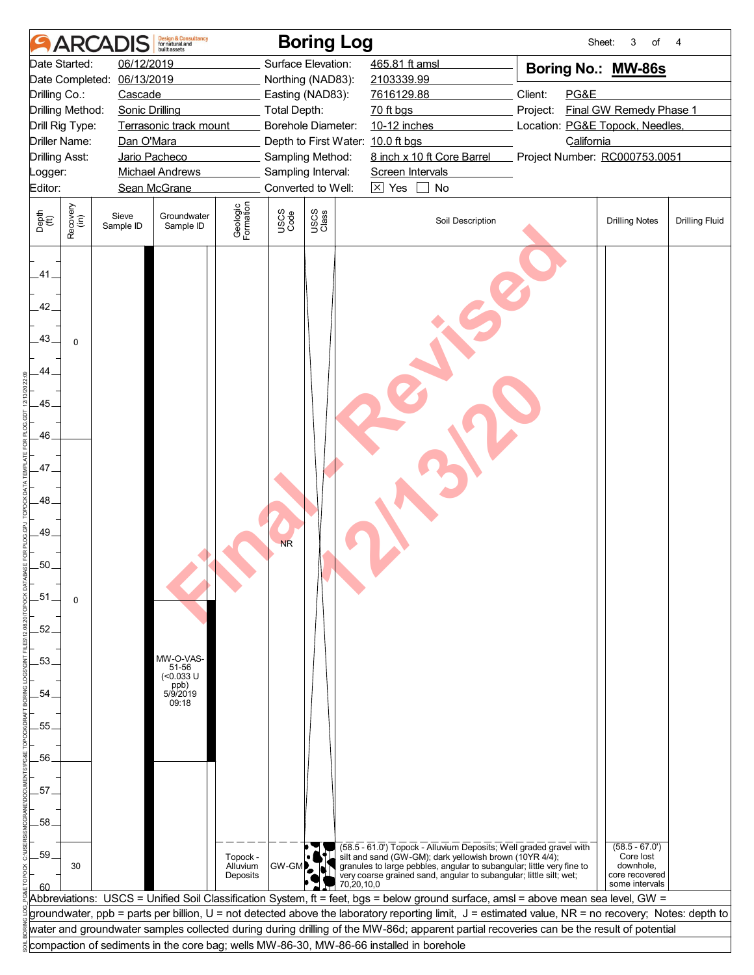|                                           |                       | <b>ARCADI</b>         | <b>Design &amp; Consultancy</b><br>for natural and<br><b>built</b> assets |                                  |                    | <b>Boring Log</b>                 |                                                                                                                                                                                                                                                                              |                                 | Sheet:<br>3<br>of                                                              | 4                     |
|-------------------------------------------|-----------------------|-----------------------|---------------------------------------------------------------------------|----------------------------------|--------------------|-----------------------------------|------------------------------------------------------------------------------------------------------------------------------------------------------------------------------------------------------------------------------------------------------------------------------|---------------------------------|--------------------------------------------------------------------------------|-----------------------|
|                                           | Date Started:         | 06/12/2019            |                                                                           |                                  |                    | Surface Elevation:                | 465.81 ft amsl                                                                                                                                                                                                                                                               | Boring No.: MW-86s              |                                                                                |                       |
|                                           | Date Completed:       | 06/13/2019            |                                                                           |                                  |                    | Northing (NAD83):                 | 2103339.99                                                                                                                                                                                                                                                                   |                                 |                                                                                |                       |
| Drilling Co.:                             |                       | Cascade               |                                                                           |                                  |                    | Easting (NAD83):                  | 7616129.88                                                                                                                                                                                                                                                                   | Client:<br>PG&E                 |                                                                                |                       |
|                                           | Drilling Method:      | <b>Sonic Drilling</b> |                                                                           |                                  | Total Depth:       |                                   | 70 ft bgs                                                                                                                                                                                                                                                                    | Project:                        | Final GW Remedy Phase 1                                                        |                       |
|                                           | Drill Rig Type:       |                       | Terrasonic track mount                                                    |                                  |                    | Borehole Diameter:                | 10-12 inches                                                                                                                                                                                                                                                                 | Location: PG&E Topock, Needles, |                                                                                |                       |
|                                           | <b>Driller Name:</b>  | Dan O'Mara            |                                                                           |                                  |                    | Depth to First Water: 10.0 ft bgs |                                                                                                                                                                                                                                                                              | California                      |                                                                                |                       |
|                                           | <b>Drilling Asst:</b> |                       | Jario Pacheco                                                             |                                  |                    | Sampling Method:                  | 8 inch x 10 ft Core Barrel                                                                                                                                                                                                                                                   | Project Number: RC000753.0051   |                                                                                |                       |
| _ogger:                                   |                       |                       | <b>Michael Andrews</b>                                                    |                                  | Sampling Interval: |                                   | Screen Intervals                                                                                                                                                                                                                                                             |                                 |                                                                                |                       |
| Editor:                                   |                       |                       | Sean McGrane                                                              |                                  |                    | Converted to Well:                | $\boxtimes$ Yes<br>$\perp$<br>No                                                                                                                                                                                                                                             |                                 |                                                                                |                       |
| Depth<br>(ft)                             | Recovery<br>(in)      | Sieve<br>Sample ID    | Groundwater<br>Sample ID                                                  | Geologic<br>Formation            | USCS<br>Code       | USCS<br>Class                     | Soil Description                                                                                                                                                                                                                                                             |                                 | <b>Drilling Notes</b>                                                          | <b>Drilling Fluid</b> |
| .41.<br>42.<br>.43.<br>44.<br>.45.<br>46. | $\mathbf 0$           |                       |                                                                           |                                  |                    |                                   |                                                                                                                                                                                                                                                                              |                                 |                                                                                |                       |
| .47.<br>48.<br>.49.<br>.50.<br>$-51$      |                       |                       |                                                                           |                                  | <b>NR</b>          |                                   |                                                                                                                                                                                                                                                                              |                                 |                                                                                |                       |
| .52.                                      | $\Omega$              |                       |                                                                           |                                  |                    |                                   |                                                                                                                                                                                                                                                                              |                                 |                                                                                |                       |
| .53                                       |                       |                       | MW-O-VAS-<br>51-56<br>$(0.033 \text{ U}$                                  |                                  |                    |                                   |                                                                                                                                                                                                                                                                              |                                 |                                                                                |                       |
| .54.                                      |                       |                       | ppb)<br>5/9/2019<br>09:18                                                 |                                  |                    |                                   |                                                                                                                                                                                                                                                                              |                                 |                                                                                |                       |
|                                           |                       |                       |                                                                           |                                  |                    |                                   |                                                                                                                                                                                                                                                                              |                                 |                                                                                |                       |
| .55                                       |                       |                       |                                                                           |                                  |                    |                                   |                                                                                                                                                                                                                                                                              |                                 |                                                                                |                       |
|                                           |                       |                       |                                                                           |                                  |                    |                                   |                                                                                                                                                                                                                                                                              |                                 |                                                                                |                       |
| 56.                                       |                       |                       |                                                                           |                                  |                    |                                   |                                                                                                                                                                                                                                                                              |                                 |                                                                                |                       |
|                                           |                       |                       |                                                                           |                                  |                    |                                   |                                                                                                                                                                                                                                                                              |                                 |                                                                                |                       |
| .57                                       |                       |                       |                                                                           |                                  |                    |                                   |                                                                                                                                                                                                                                                                              |                                 |                                                                                |                       |
| .58.                                      |                       |                       |                                                                           |                                  |                    |                                   |                                                                                                                                                                                                                                                                              |                                 |                                                                                |                       |
| .59.<br>ഭറ                                | 30                    |                       |                                                                           | Topock -<br>Alluvium<br>Deposits | <b>GW-GMP</b>      | 70,20,10,0                        | (58.5 - 61.0') Topock - Alluvium Deposits; Well graded gravel with<br>silt and sand (GW-GM); dark yellowish brown (10YR 4/4);<br>granules to large pebbles, angular to subangular; little very fine to<br>very coarse grained sand, angular to subangular; little silt; wet; |                                 | $(58.5 - 67.0')$<br>Core lost<br>downhole,<br>core recovered<br>some intervals |                       |
|                                           |                       |                       |                                                                           |                                  |                    |                                   | Abbreviations:  USCS = Unified Soil Classification System, ft = feet, bgs = below ground surface, amsl = above mean sea level, GW =                                                                                                                                          |                                 |                                                                                |                       |
|                                           |                       |                       |                                                                           |                                  |                    |                                   | groundwater, ppb = parts per billion, U = not detected above the laboratory reporting limit, J = estimated value, NR = no recovery; Notes: depth to                                                                                                                          |                                 |                                                                                |                       |
|                                           |                       |                       |                                                                           |                                  |                    |                                   | water and groundwater samples collected during during drilling of the MW-86d; apparent partial recoveries can be the result of potential                                                                                                                                     |                                 |                                                                                |                       |
|                                           |                       |                       |                                                                           |                                  |                    |                                   | compaction of sediments in the core bag; wells MW-86-30, MW-86-66 installed in borehole                                                                                                                                                                                      |                                 |                                                                                |                       |